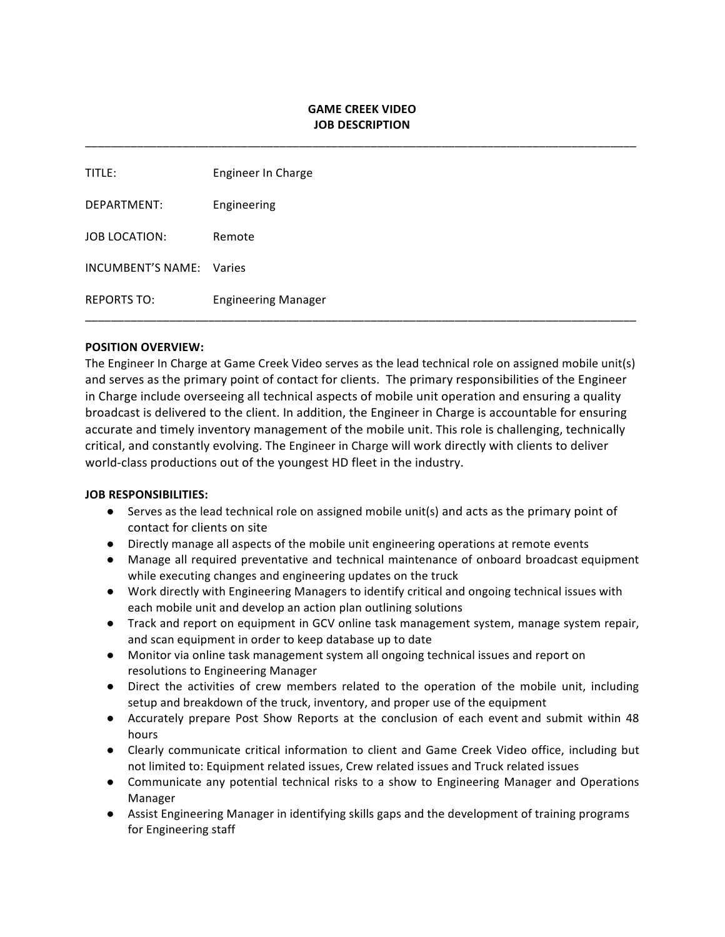# **GAME CREEK VIDEO JOB DESCRIPTION**

\_\_\_\_\_\_\_\_\_\_\_\_\_\_\_\_\_\_\_\_\_\_\_\_\_\_\_\_\_\_\_\_\_\_\_\_\_\_\_\_\_\_\_\_\_\_\_\_\_\_\_\_\_\_\_\_\_\_\_\_\_\_\_\_\_\_\_\_\_\_\_\_\_\_\_\_\_\_\_\_\_\_\_\_\_

| TITLE:               | Engineer In Charge         |
|----------------------|----------------------------|
| DEPARTMENT:          | Engineering                |
| <b>JOB LOCATION:</b> | Remote                     |
| INCUMBENT'S NAME:    | Varies                     |
| <b>REPORTS TO:</b>   | <b>Engineering Manager</b> |

#### **POSITION OVERVIEW:**

The Engineer In Charge at Game Creek Video serves as the lead technical role on assigned mobile unit(s) and serves as the primary point of contact for clients. The primary responsibilities of the Engineer in Charge include overseeing all technical aspects of mobile unit operation and ensuring a quality broadcast is delivered to the client. In addition, the Engineer in Charge is accountable for ensuring accurate and timely inventory management of the mobile unit. This role is challenging, technically critical, and constantly evolving. The Engineer in Charge will work directly with clients to deliver world-class productions out of the youngest HD fleet in the industry.

#### **JOB RESPONSIBILITIES:**

- $\bullet$  Serves as the lead technical role on assigned mobile unit(s) and acts as the primary point of contact for clients on site
- Directly manage all aspects of the mobile unit engineering operations at remote events
- Manage all required preventative and technical maintenance of onboard broadcast equipment while executing changes and engineering updates on the truck
- Work directly with Engineering Managers to identify critical and ongoing technical issues with each mobile unit and develop an action plan outlining solutions
- Track and report on equipment in GCV online task management system, manage system repair, and scan equipment in order to keep database up to date
- Monitor via online task management system all ongoing technical issues and report on resolutions to Engineering Manager
- Direct the activities of crew members related to the operation of the mobile unit, including setup and breakdown of the truck, inventory, and proper use of the equipment
- Accurately prepare Post Show Reports at the conclusion of each event and submit within 48 hours
- Clearly communicate critical information to client and Game Creek Video office, including but not limited to: Equipment related issues, Crew related issues and Truck related issues
- Communicate any potential technical risks to a show to Engineering Manager and Operations Manager
- Assist Engineering Manager in identifying skills gaps and the development of training programs for Engineering staff